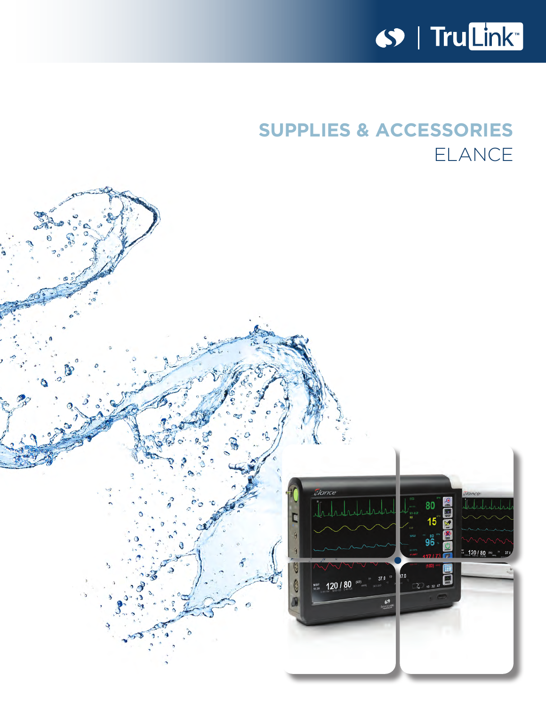

# **SUPPLIES & ACCESSORIES** ELANCE

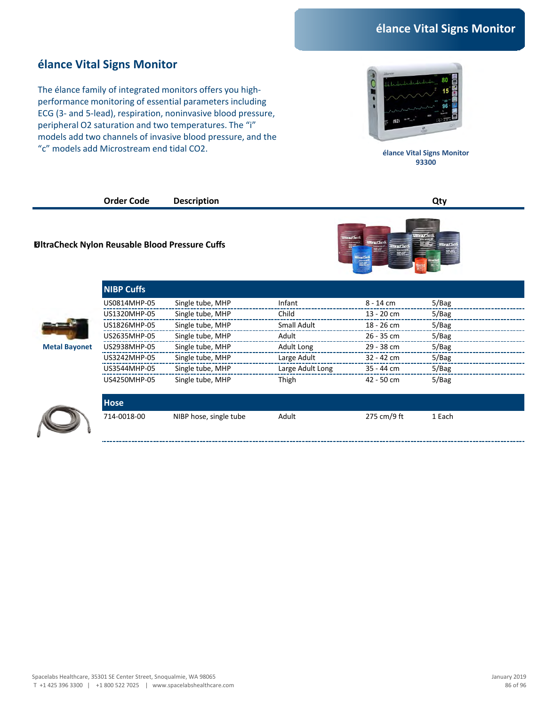#### **élance Vital Signs Monitor**

The élance family of integrated monitors offers you highperformance monitoring of essential parameters including ECG (3- and 5-lead), respiration, noninvasive blood pressure, peripheral O2 saturation and two temperatures. The "i" models add two channels of invasive blood pressure, and the "c" models add Microstream end tidal CO2.



**élance Vital Signs Monitor 93300** 

**Order Code Description Qty**

#### **UltraCheck Nylon Reusable Blood Pressure Cuffs**

**NIBP Cuffs**



|  | <b>Metal Bayonet</b> |  |
|--|----------------------|--|
|  |                      |  |

|                      | US0814MHP-05 | Single tube, MHP | Infant           | $8 - 14$ cm  | 5/Bag |  |
|----------------------|--------------|------------------|------------------|--------------|-------|--|
|                      | US1320MHP-05 | Single tube, MHP | Child            | $13 - 20$ cm | 5/Bag |  |
|                      | US1826MHP-05 | Single tube, MHP | Small Adult      | $18 - 26$ cm | 5/Bag |  |
|                      | US2635MHP-05 | Single tube, MHP | Adult            | $26 - 35$ cm | 5/Bag |  |
| <b>Metal Bayonet</b> | US2938MHP-05 | Single tube, MHP | Adult Long       | $29 - 38$ cm | 5/Bag |  |
|                      | US3242MHP-05 | Single tube, MHP | Large Adult      | $32 - 42$ cm | 5/Bag |  |
|                      | US3544MHP-05 | Single tube, MHP | Large Adult Long | $35 - 44$ cm | 5/Bag |  |
|                      | US4250MHP-05 | Single tube, MHP | Thigh            | $42 - 50$ cm | 5/Bag |  |
|                      |              |                  |                  |              |       |  |



| Hose .      |                        |       |             |        |  |
|-------------|------------------------|-------|-------------|--------|--|
| 714-0018-00 | NIBP hose, single tube | Adult | 275 cm/9 ft | 1 Each |  |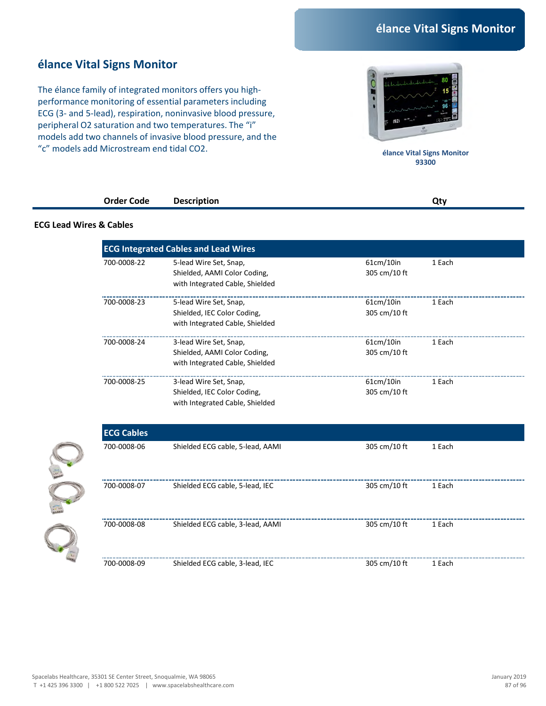#### **élance Vital Signs Monitor**

The élance family of integrated monitors offers you highperformance monitoring of essential parameters including ECG (3- and 5-lead), respiration, noninvasive blood pressure, peripheral O2 saturation and two temperatures. The "i" models add two channels of invasive blood pressure, and the "c" models add Microstream end tidal CO2.



**élance Vital Signs Monitor 93300** 

| <b>Order Code</b> | <b>Description</b> | Qtv |
|-------------------|--------------------|-----|
|                   |                    |     |

#### **ECG Lead Wires & Cables**

On C

|                   | <b>ECG Integrated Cables and Lead Wires</b>                                               |                           |        |
|-------------------|-------------------------------------------------------------------------------------------|---------------------------|--------|
| 700-0008-22       | 5-lead Wire Set, Snap,<br>Shielded, AAMI Color Coding,<br>with Integrated Cable, Shielded | 61cm/10in<br>305 cm/10 ft | 1 Each |
| 700-0008-23       | 5-lead Wire Set, Snap,<br>Shielded, IEC Color Coding,<br>with Integrated Cable, Shielded  | 61cm/10in<br>305 cm/10 ft | 1 Each |
| 700-0008-24       | 3-lead Wire Set, Snap,<br>Shielded, AAMI Color Coding,<br>with Integrated Cable, Shielded | 61cm/10in<br>305 cm/10 ft | 1 Each |
| 700-0008-25       | 3-lead Wire Set, Snap,<br>Shielded, IEC Color Coding,<br>with Integrated Cable, Shielded  | 61cm/10in<br>305 cm/10 ft | 1 Each |
| <b>ECG Cables</b> |                                                                                           |                           |        |
| 700-0008-06       | Shielded ECG cable, 5-lead, AAMI                                                          | 305 cm/10 ft              | 1 Each |
| 700-0008-07       | Shielded ECG cable, 5-lead, IEC                                                           | 305 cm/10 ft              | 1 Each |
| 700-0008-08       | Shielded ECG cable, 3-lead, AAMI                                                          | 305 cm/10 ft              | 1 Each |
|                   |                                                                                           |                           |        |

700-0008-09 305 cm/10 ft 1 Each Shielded ECG cable, 3-lead, IEC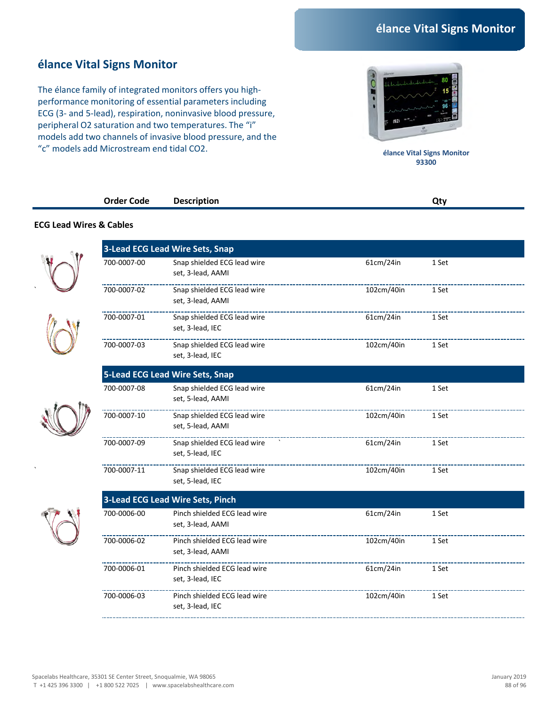### **élance Vital Signs Monitor**

The élance family of integrated monitors offers you highperformance monitoring of essential parameters including ECG (3- and 5-lead), respiration, noninvasive blood pressure, peripheral O2 saturation and two temperatures. The "i" models add two channels of invasive blood pressure, and the "c" models add Microstream end tidal CO2.



**élance Vital Signs Monitor 93300** 

|                                    | <b>Order Code</b> | <b>Description</b> | Qty |
|------------------------------------|-------------------|--------------------|-----|
|                                    |                   |                    |     |
| <b>ECG Lead Wires &amp; Cables</b> |                   |                    |     |

|             | <b>3-Lead ECG Lead Wire Sets, Snap</b>            |            |       |
|-------------|---------------------------------------------------|------------|-------|
| 700-0007-00 | Snap shielded ECG lead wire<br>set, 3-lead, AAMI  | 61cm/24in  | 1 Set |
| 700-0007-02 | Snap shielded ECG lead wire<br>set, 3-lead, AAMI  | 102cm/40in | 1 Set |
| 700-0007-01 | Snap shielded ECG lead wire<br>set, 3-lead, IEC   | 61cm/24in  | 1 Set |
| 700-0007-03 | Snap shielded ECG lead wire<br>set, 3-lead, IEC   | 102cm/40in | 1 Set |
|             | <b>5-Lead ECG Lead Wire Sets, Snap</b>            |            |       |
| 700-0007-08 | Snap shielded ECG lead wire<br>set, 5-lead, AAMI  | 61cm/24in  | 1 Set |
| 700-0007-10 | Snap shielded ECG lead wire<br>set, 5-lead, AAMI  | 102cm/40in | 1 Set |
| 700-0007-09 | Snap shielded ECG lead wire<br>set, 5-lead, IEC   | 61cm/24in  | 1 Set |
| 700-0007-11 | Snap shielded ECG lead wire<br>set, 5-lead, IEC   | 102cm/40in | 1 Set |
|             | <b>3-Lead ECG Lead Wire Sets, Pinch</b>           |            |       |
| 700-0006-00 | Pinch shielded ECG lead wire<br>set, 3-lead, AAMI | 61cm/24in  | 1 Set |
| 700-0006-02 | Pinch shielded ECG lead wire<br>set, 3-lead, AAMI | 102cm/40in | 1 Set |
| 700-0006-01 | Pinch shielded ECG lead wire<br>set, 3-lead, IEC  | 61cm/24in  | 1 Set |
| 700-0006-03 | Pinch shielded ECG lead wire<br>set, 3-lead, IEC  | 102cm/40in | 1 Set |
|             |                                                   |            |       |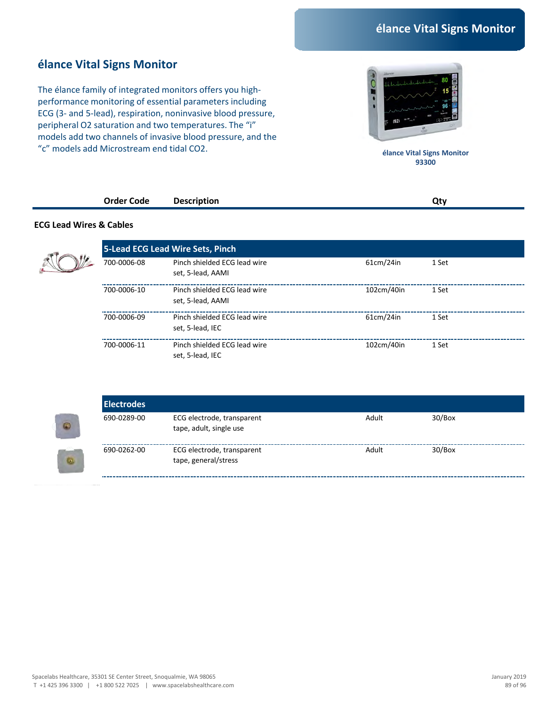#### **élance Vital Signs Monitor**

The élance family of integrated monitors offers you highperformance monitoring of essential parameters including ECG (3- and 5-lead), respiration, noninvasive blood pressure, peripheral O2 saturation and two temperatures. The "i" models add two channels of invasive blood pressure, and the "c" models add Microstream end tidal CO2.



**élance Vital Signs Monitor 93300** 

| <b>Order L</b><br>Code<br>. | .,<br>nr<br>$- - - - -$<br>___ |  |
|-----------------------------|--------------------------------|--|
|                             |                                |  |

#### **ECG Lead Wires & Cables**



|             | 5-Lead ECG Lead Wire Sets, Pinch                  |            |       |
|-------------|---------------------------------------------------|------------|-------|
| 700-0006-08 | Pinch shielded ECG lead wire<br>set, 5-lead, AAMI | 61cm/24in  | 1 Set |
| 700-0006-10 | Pinch shielded ECG lead wire<br>set, 5-lead, AAMI | 102cm/40in | 1 Set |
| 700-0006-09 | Pinch shielded ECG lead wire<br>set, 5-lead, IEC  | 61cm/24in  | 1 Set |
| 700-0006-11 | Pinch shielded ECG lead wire<br>set, 5-lead, IEC  | 102cm/40in | 1 Set |

|           | <b>Electrodes</b> |                                                       |       |        |
|-----------|-------------------|-------------------------------------------------------|-------|--------|
| $\circ$   | 690-0289-00       | ECG electrode, transparent<br>tape, adult, single use | Adult | 30/Box |
| $\bullet$ | 690-0262-00       | ECG electrode, transparent<br>tape, general/stress    | Adult | 30/Box |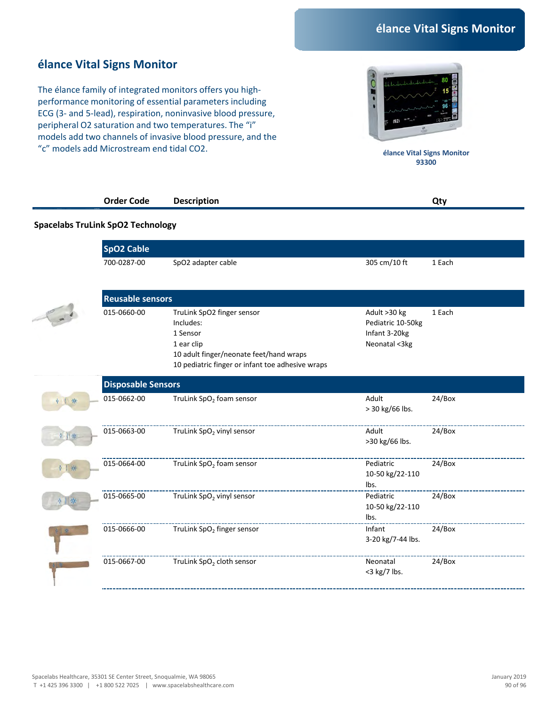### **élance Vital Signs Monitor**

The élance family of integrated monitors offers you highperformance monitoring of essential parameters including ECG (3- and 5-lead), respiration, noninvasive blood pressure, peripheral O2 saturation and two temperatures. The "i" models add two channels of invasive blood pressure, and the "c" models add Microstream end tidal CO2.



**élance Vital Signs Monitor 93300** 

|   | <b>Order Code</b>                        | <b>Description</b>                                                                                                                                               |                                                                     | Qty    |
|---|------------------------------------------|------------------------------------------------------------------------------------------------------------------------------------------------------------------|---------------------------------------------------------------------|--------|
|   | <b>Spacelabs TruLink SpO2 Technology</b> |                                                                                                                                                                  |                                                                     |        |
|   | <b>SpO2 Cable</b>                        |                                                                                                                                                                  |                                                                     |        |
|   | 700-0287-00                              | SpO2 adapter cable                                                                                                                                               | 305 cm/10 ft                                                        | 1 Each |
|   | <b>Reusable sensors</b>                  |                                                                                                                                                                  |                                                                     |        |
|   | 015-0660-00                              | TruLink SpO2 finger sensor<br>Includes:<br>1 Sensor<br>1 ear clip<br>10 adult finger/neonate feet/hand wraps<br>10 pediatric finger or infant toe adhesive wraps | Adult >30 kg<br>Pediatric 10-50kg<br>Infant 3-20kg<br>Neonatal <3kg | 1 Each |
|   | <b>Disposable Sensors</b>                |                                                                                                                                                                  |                                                                     |        |
| 米 | 015-0662-00                              | TruLink SpO <sub>2</sub> foam sensor                                                                                                                             | Adult<br>> 30 kg/66 lbs.                                            | 24/Box |
|   | 015-0663-00                              | TruLink SpO <sub>2</sub> vinyl sensor                                                                                                                            | Adult<br>>30 kg/66 lbs.                                             | 24/Box |
|   | 015-0664-00                              | TruLink SpO <sub>2</sub> foam sensor                                                                                                                             | Pediatric<br>10-50 kg/22-110<br>lbs.                                | 24/Box |
|   | 015-0665-00                              | TruLink SpO <sub>2</sub> vinyl sensor                                                                                                                            | Pediatric<br>10-50 kg/22-110<br>lbs.                                | 24/Box |
|   | 015-0666-00                              | TruLink SpO <sub>2</sub> finger sensor                                                                                                                           | Infant<br>3-20 kg/7-44 lbs.                                         | 24/Box |
|   | 015-0667-00                              | TruLink SpO <sub>2</sub> cloth sensor                                                                                                                            | Neonatal<br><3 kg/7 lbs.                                            | 24/Box |
|   |                                          |                                                                                                                                                                  |                                                                     |        |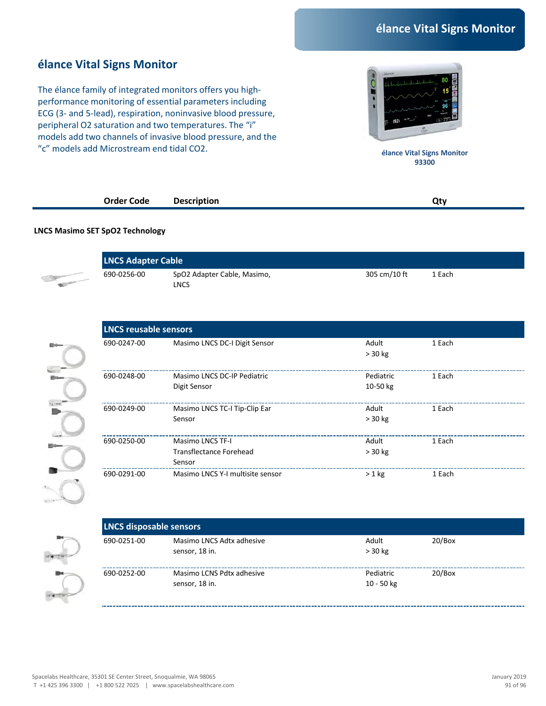### **élance Vital Signs Monitor**

The élance family of integrated monitors offers you highperformance monitoring of essential parameters including ECG (3- and 5-lead), respiration, noninvasive blood pressure, peripheral O2 saturation and two temperatures. The "i" models add two channels of invasive blood pressure, and the "c" models add Microstream end tidal CO2.



**élance Vital Signs Monitor 93300** 

| Order Code | <b>Description</b> | Otv |
|------------|--------------------|-----|
|            |                    |     |

#### **LNCS Masimo SET SpO2 Technology**

|                                                                                                                                                                                                                                      | <b>LNCS Adapter Cable</b> |                                     |              |        |  |
|--------------------------------------------------------------------------------------------------------------------------------------------------------------------------------------------------------------------------------------|---------------------------|-------------------------------------|--------------|--------|--|
| <b>Company of the Company of the Company of the Company of the Company of the Company of the Company of the Company of the Company of the Company of the Company of the Company of the Company of the Company of the Company of </b> | 690-0256-00               | SpO2 Adapter Cable, Masimo,<br>LNCS | 305 cm/10 ft | 1 Each |  |

|             | <b>LNCS reusable sensors</b>     |                  |        |  |  |  |
|-------------|----------------------------------|------------------|--------|--|--|--|
| 690-0247-00 | Masimo LNCS DC-I Digit Sensor    | Adult<br>> 30 kg | 1 Each |  |  |  |
|             |                                  |                  |        |  |  |  |
| 690-0248-00 | Masimo LNCS DC-IP Pediatric      | Pediatric        | 1 Each |  |  |  |
|             | Digit Sensor                     | 10-50 kg         |        |  |  |  |
|             |                                  |                  |        |  |  |  |
| 690-0249-00 | Masimo LNCS TC-I Tip-Clip Ear    | Adult            | 1 Each |  |  |  |
|             | Sensor                           | $> 30$ kg        |        |  |  |  |
|             |                                  |                  |        |  |  |  |
| 690-0250-00 | <b>Masimo LNCS TF-I</b>          | Adult            | 1 Each |  |  |  |
|             | Transflectance Forehead          | $> 30$ kg        |        |  |  |  |
|             | Sensor                           |                  |        |  |  |  |
| 690-0291-00 | Masimo LNCS Y-I multisite sensor | $> 1$ kg         | 1 Each |  |  |  |
|             |                                  |                  |        |  |  |  |

**LNCS disposable sensors** 690-0251-00 Masimo LNCS Adtx adhesive sensor, 18 in. Adult > 30 kg 20/Box 690-0252-00 Masimo LCNS Pdtx adhesive sensor, 18 in. Pediatric 10 - 50 kg 20/Box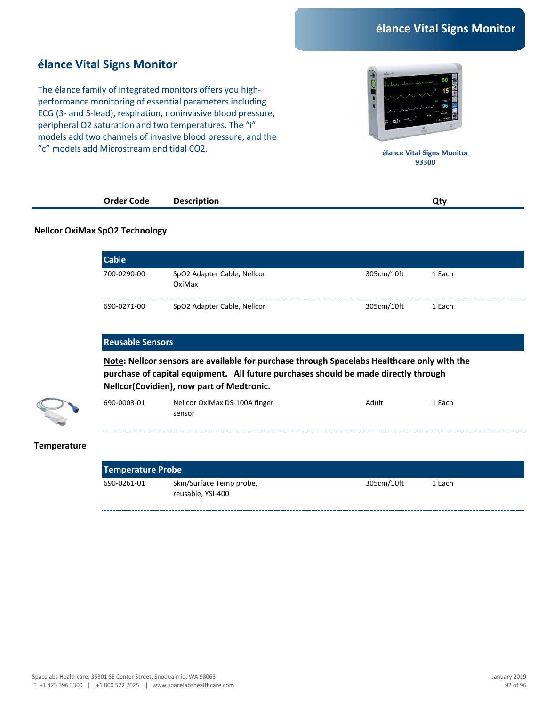#### **élance Vital Signs Monitor**

The élance family of integrated monitors offers you highperformance monitoring of essential parameters including ECG (3- and 5-lead), respiration, noninvasive blood pressure, peripheral O2 saturation and two temperatures. The "i" models add two channels of invasive blood pressure, and the "c" models add Microstream end tidal CO2.



**élance Vital Signs Monitor 93300** 

| Order Code | <b>Description</b><br>---- |  |  |
|------------|----------------------------|--|--|
|            |                            |  |  |

#### **Nellcor OxiMax SpO2 Technology**

| <b>Cable</b> |                                       |            |        |  |
|--------------|---------------------------------------|------------|--------|--|
| 700-0290-00  | SpO2 Adapter Cable, Nellcor<br>OxiMax | 305cm/10ft | 1 Each |  |
| 690-0271-00  | SpO2 Adapter Cable, Nellcor           | 305cm/10ft | 1 Each |  |

#### **Reusable Sensors**

**Note: Nellcor sensors are available for purchase through Spacelabs Healthcare only with the purchase of capital equipment. All future purchases should be made directly through Nellcor(Covidien), now part of Medtronic.**



| 690-0003-01 | Nellcor OxiMax DS-100A finger | Adult | 1 Each |
|-------------|-------------------------------|-------|--------|
|             | sensor                        |       |        |

#### **Temperature**

| Temperature Probe |                                               |            |        |  |
|-------------------|-----------------------------------------------|------------|--------|--|
| 690-0261-01       | Skin/Surface Temp probe,<br>reusable, YSI-400 | 305cm/10ft | 1 Each |  |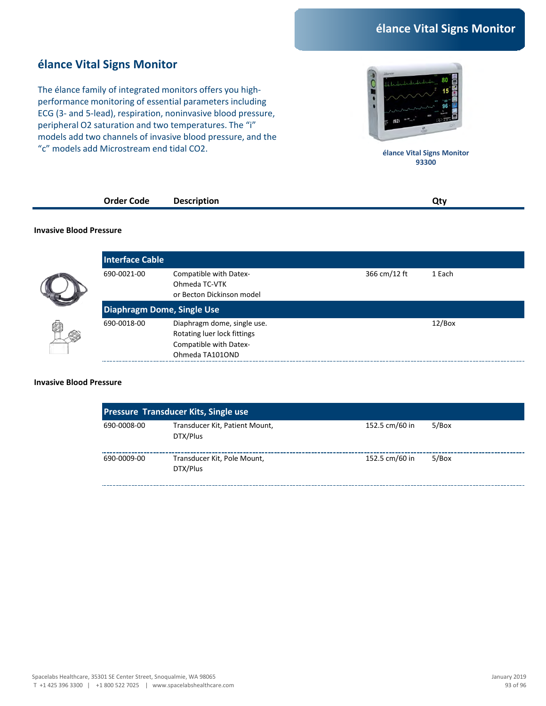#### **élance Vital Signs Monitor**

The élance family of integrated monitors offers you highperformance monitoring of essential parameters including ECG (3- and 5-lead), respiration, noninvasive blood pressure, peripheral O2 saturation and two temperatures. The "i" models add two channels of invasive blood pressure, and the "c" models add Microstream end tidal CO2.



**élance Vital Signs Monitor 93300** 

| <b>Order Code</b><br>. | cription<br>Desc<br>$- - - - -$<br>$ -$ |  |  |
|------------------------|-----------------------------------------|--|--|
|                        |                                         |  |  |

#### **Invasive Blood Pressure**

|   | <b>Interface Cable</b> |                                                                                                         |              |        |
|---|------------------------|---------------------------------------------------------------------------------------------------------|--------------|--------|
|   | 690-0021-00            | Compatible with Datex-<br>Ohmeda TC-VTK<br>or Becton Dickinson model                                    | 366 cm/12 ft | 1 Each |
|   |                        | <b>Diaphragm Dome, Single Use</b>                                                                       |              |        |
| Ø | 690-0018-00            | Diaphragm dome, single use.<br>Rotating luer lock fittings<br>Compatible with Datex-<br>Ohmeda TA101OND |              | 12/Box |

#### **Invasive Blood Pressure**

| <b>Pressure Transducer Kits, Single use</b> |                                            |                |       |  |
|---------------------------------------------|--------------------------------------------|----------------|-------|--|
| 690-0008-00                                 | Transducer Kit, Patient Mount,<br>DTX/Plus | 152.5 cm/60 in | 5/Box |  |
| 690-0009-00                                 | Transducer Kit, Pole Mount,<br>DTX/Plus    | 152.5 cm/60 in | 5/Box |  |